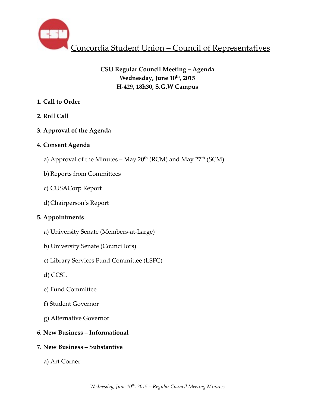

# **CSU Regular Council Meeting – Agenda** Wednesday, June  $10^{th}$ , 2015 **H-429, 18h30, S.G.W Campus**

# **1. Call to Order**

**2. Roll Call** 

# **3. Approval of the Agenda**

# **4. Consent Agenda**

- a) Approval of the Minutes May  $20^{th}$  (RCM) and May  $27^{th}$  (SCM)
- b) Reports from Committees
- c) CUSACorp Report
- d)Chairperson's Report

# **5. Appointments**

- a) University Senate (Members-at-Large)
- b) University Senate (Councillors)
- c) Library Services Fund Committee (LSFC)
- d) CCSL
- e) Fund Committee
- f) Student Governor
- g) Alternative Governor

# **6. New Business – Informational**

# **7. New Business – Substantive**

a) Art Corner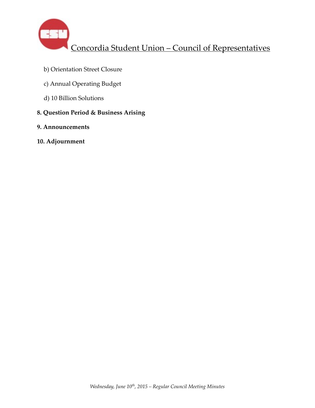

- b) Orientation Street Closure
- c) Annual Operating Budget
- d) 10 Billion Solutions
- **8. Question Period & Business Arising**
- **9. Announcements**
- **10. Adjournment**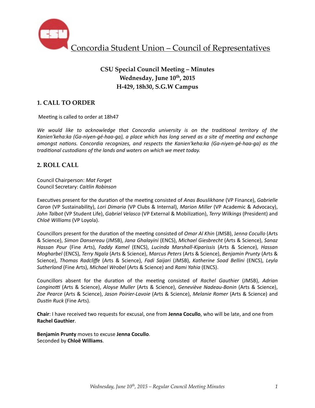

# **CSU Special Council Meeting – Minutes** Wednesday, June  $10^{th}$ , 2015 **H-429, 18h30, S.G.W Campus**

## **1. CALL TO ORDER**

Meeting is called to order at 18h47

We would like to acknowledge that Concordia university is on the traditional territory of the Kanien'keha:ka (Ga-niyen-gé-haa-ga), a place which has long served as a site of meeting and exchange *amongst nations. Concordia recognizes, and respects the Kanien'keha:ka (Ga-niyen-gé-haa-ga)* as the traditional custodians of the lands and waters on which we meet today.

### **2. ROLL CALL**

Council Chairperson: *Mat Forget* Council Secretary: *Caitlin Robinson*

Executives present for the duration of the meeting consisted of *Anas Bouslikhane* (VP Finance), *Gabrielle Caron* (VP Sustainability), *Lori Dimaria* (VP Clubs & Internal), *Marion Miller* (VP Academic & Advocacy), John Talbot (VP Student Life), *Gabriel Velasco* (VP External & Mobilization), *Terry Wilkings* (President) and *Chloë Williams* (VP Loyola). 

Councillors present for the duration of the meeting consisted of *Omar Al Khin* (JMSB), Jenna Cocullo (Arts & Science), *Simon Dansereau* (JMSB), *Jana Ghalayini* (ENCS), *Michael Giesbrecht* (Arts & Science), *Sanaz Hassan Pour* (Fine Arts), *Faddy Kamel* (ENCS), *Lucinda Marshall-Kiparissis* (Arts & Science), *Hassan Mogharbel* (ENCS), *Terry Ngala* (Arts & Science), *Marcus Peters* (Arts & Science), *Benjamin Prunty* (Arts & Science), Thomas Radcliffe (Arts & Science), Fadi Saijari (JMSB), Katherine Soad Bellini (ENCS), Leyla *Sutherland* (Fine Arts), *Michael Wrobel* (Arts & Science) and *Rami Yahia* (ENCS).

Councillors absent for the duration of the meeting consisted of Rachel Gauthier (JMSB), Adrian Longinotti (Arts & Science), *Aloyse Muller* (Arts & Science), *Geneviève Nadeau-Bonin* (Arts & Science), Zoe Pearce (Arts & Science), Jason Poirier-Lavoie (Arts & Science), *Melanie Romer* (Arts & Science) and **Dustin Ruck (Fine Arts).** 

**Chair**: I have received two requests for excusal, one from Jenna Cocullo, who will be late, and one from **Rachel Gauthier**. 

**Benjamin Prunty** moves to excuse Jenna Cocullo. Seconded by **Chloë Williams**.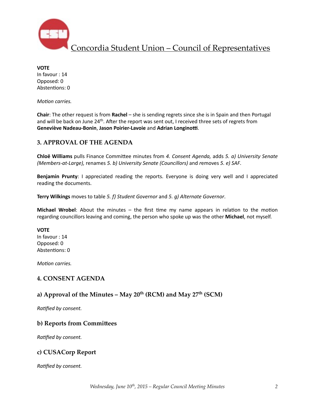

**VOTE** In favour : 14 Opposed: 0 Abstentions: 0

*Motion carries.* 

**Chair:** The other request is from Rachel – she is sending regrets since she is in Spain and then Portugal and will be back on June 24<sup>th</sup>. After the report was sent out, I received three sets of regrets from **Geneviève Nadeau-Bonin, Jason Poirier-Lavoie** and Adrian Longinotti.

### **3. APPROVAL OF THE AGENDA**

**Chloë Williams** pulls Finance Committee minutes from 4. Consent Agenda, adds 5. a) University Senate *(Members-at-Large), renames 5. b) University Senate (Councillors)* and *removes 5. e) SAF.* 

**Benjamin Prunty**: I appreciated reading the reports. Everyone is doing very well and I appreciated reading the documents.

**Terry Wilkings** moves to table 5. f) Student Governor and 5. g) Alternate Governor.

**Michael Wrobel**: About the minutes  $-$  the first time my name appears in relation to the motion regarding councillors leaving and coming, the person who spoke up was the other Michael, not myself.

#### **VOTE**

In favour : 14 Opposed: 0 Abstentions: 0

*Motion carries.* 

### **4. CONSENT AGENDA**

### **a) Approval of the Minutes – May 20th (RCM) and May 27th (SCM)**

**Ratified by consent.** 

### **b) Reports from Committees**

*Ratified by consent.* 

### **c) CUSACorp Report**

**Ratified by consent.**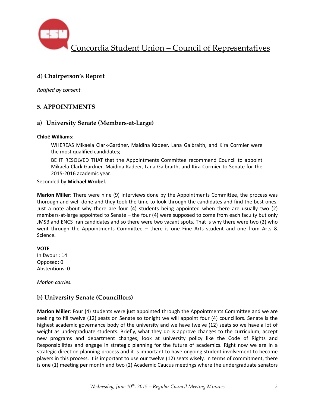

# **d) Chairperson's Report**

*Ratified by consent.* 

### **5. APPOINTMENTS**

### **a) University Senate (Members-at-Large)**

#### **Chloë Williams**:

WHEREAS Mikaela Clark-Gardner, Maidina Kadeer, Lana Galbraith, and Kira Cormier were the most qualified candidates;

BE IT RESOLVED THAT that the Appointments Committee recommend Council to appoint Mikaela Clark-Gardner, Maidina Kadeer, Lana Galbraith, and Kira Cormier to Senate for the 2015-2016 academic year.

Seconded by **Michael Wrobel**. 

Marion Miller: There were nine (9) interviews done by the Appointments Committee, the process was thorough and well-done and they took the time to look through the candidates and find the best ones. Just a note about why there are four  $(4)$  students being appointed when there are usually two  $(2)$ members-at-large appointed to Senate  $-$  the four (4) were supposed to come from each faculty but only JMSB and ENCS ran candidates and so there were two vacant spots. That is why there were two (2) who went through the Appointments Committee - there is one Fine Arts student and one from Arts & Science. 

**VOTE** In favour : 14

Opposed: 0 Abstentions: 0

*Motion carries.* 

## **b) University Senate (Councillors)**

**Marion Miller**: Four (4) students were just appointed through the Appointments Committee and we are seeking to fill twelve (12) seats on Senate so tonight we will appoint four (4) councillors. Senate is the highest academic governance body of the university and we have twelve (12) seats so we have a lot of weight as undergraduate students. Briefly, what they do is approve changes to the curriculum, accept new programs and department changes, look at university policy like the Code of Rights and Responsibilities and engage in strategic planning for the future of academics. Right now we are in a strategic direction planning process and it is important to have ongoing student involvement to become players in this process. It is important to use our twelve (12) seats wisely. In terms of commitment, there is one (1) meeting per month and two (2) Academic Caucus meetings where the undergraduate senators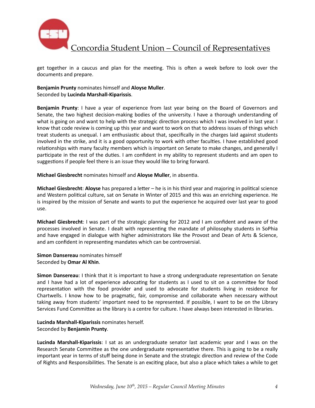

get together in a caucus and plan for the meeting. This is often a week before to look over the documents and prepare.

**Benjamin Prunty** nominates himself and **Aloyse Muller**. Seconded by **Lucinda Marshall-Kiparissis**. 

**Benjamin Prunty**: I have a year of experience from last year being on the Board of Governors and Senate, the two highest decision-making bodies of the university. I have a thorough understanding of what is going on and want to help with the strategic direction process which I was involved in last year. I know that code review is coming up this year and want to work on that to address issues of things which treat students as unequal. I am enthusiastic about that, specifically in the charges laid against students involved in the strike, and it is a good opportunity to work with other faculties. I have established good relationships with many faculty members which is important on Senate to make changes, and generally I participate in the rest of the duties. I am confident in my ability to represent students and am open to suggestions if people feel there is an issue they would like to bring forward.

**Michael Giesbrecht** nominates himself and Aloyse Muller, in absentia.

**Michael Giesbrecht: Aloyse** has prepared a letter – he is in his third year and majoring in political science and Western political culture, sat on Senate in Winter of 2015 and this was an enriching experience. He is inspired by the mission of Senate and wants to put the experience he acquired over last year to good use. 

**Michael Giesbrecht**: I was part of the strategic planning for 2012 and I am confident and aware of the processes involved in Senate. I dealt with representing the mandate of philosophy students in SoPhia and have engaged in dialogue with higher administrators like the Provost and Dean of Arts & Science, and am confident in representing mandates which can be controversial.

**Simon Dansereau** nominates himself Seconded by **Omar Al Khin**.

**Simon Dansereau:** I think that it is important to have a strong undergraduate representation on Senate and I have had a lot of experience advocating for students as I used to sit on a committee for food representation with the food provider and used to advocate for students living in residence for Chartwells. I know how to be pragmatic, fair, compromise and collaborate when necessary without taking away from students' important need to be represented. If possible, I want to be on the Library Services Fund Committee as the library is a centre for culture. I have always been interested in libraries.

#### **Lucinda Marshall-Kiparissis** nominates herself. Seconded by **Benjamin Prunty**.

**Lucinda Marshall-Kiparissis**: I sat as an undergraduate senator last academic year and I was on the Research Senate Committee as the one undergraduate representative there. This is going to be a really important year in terms of stuff being done in Senate and the strategic direction and review of the Code of Rights and Responsibilities. The Senate is an exciting place, but also a place which takes a while to get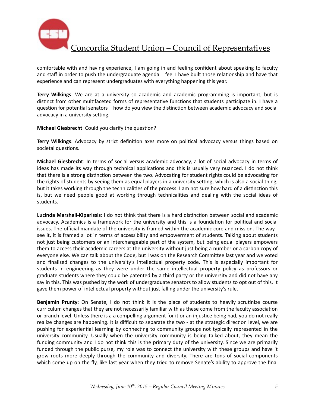

comfortable with and having experience, I am going in and feeling confident about speaking to faculty and staff in order to push the undergraduate agenda. I feel I have built those relationship and have that experience and can represent undergraduates with everything happening this year.

**Terry Wilkings**: We are at a university so academic and academic programming is important, but is distinct from other multifaceted forms of representative functions that students participate in. I have a question for potential senators – how do you view the distinction between academic advocacy and social advocacy in a university setting.

**Michael Giesbrecht:** Could you clarify the question?

**Terry Wilkings**: Advocacy by strict definition axes more on political advocacy versus things based on societal questions.

**Michael Giesbrecht**: In terms of social versus academic advocacy, a lot of social advocacy in terms of ideas has made its way through technical applications and this is usually very nuanced. I do not think that there is a strong distinction between the two. Advocating for student rights could be advocating for the rights of students by seeing them as equal players in a university setting, which is also a social thing, but it takes working through the technicalities of the process. I am not sure how hard of a distinction this is, but we need people good at working through technicalities and dealing with the social ideas of students. 

Lucinda Marshall-Kiparissis: I do not think that there is a hard distinction between social and academic advocacy. Academics is a framework for the university and this is a foundation for political and social issues. The official mandate of the university is framed within the academic core and mission. The way I see it, it is framed a lot in terms of accessibility and empowerment of students. Talking about students not just being customers or an interchangeable part of the system, but being equal players empowers them to access their academic careers at the university without just being a number or a carbon copy of everyone else. We can talk about the Code, but I was on the Research Committee last year and we voted and finalized changes to the university's intellectual property code. This is especially important for students in engineering as they were under the same intellectual property policy as professors or graduate students where they could be patented by a third party or the university and did not have any say in this. This was pushed by the work of undergraduate senators to allow students to opt out of this. It gave them power of intellectual property without just falling under the university's rule.

**Benjamin Prunty**: On Senate, I do not think it is the place of students to heavily scrutinize course curriculum changes that they are not necessarily familiar with as these come from the faculty association or branch level. Unless there is a a compelling argument for it or an injustice being had, you do not really realize changes are happening. It is difficult to separate the two - at the strategic direction level, we are pushing for experiential learning by connecting to community groups not typically represented in the university community. Usually when the university community is being talked about, they mean the funding community and I do not think this is the primary duty of the university. Since we are primarily funded through the public purse, my role was to connect the university with these groups and have it grow roots more deeply through the community and diversity. There are tons of social components which come up on the fly, like last year when they tried to remove Senate's ability to approve the final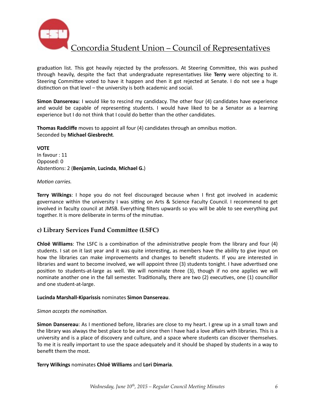

graduation list. This got heavily rejected by the professors. At Steering Committee, this was pushed through heavily, despite the fact that undergraduate representatives like Terry were objecting to it. Steering Committee voted to have it happen and then it got rejected at Senate. I do not see a huge distinction on that level – the university is both academic and social.

**Simon Dansereau:** I would like to rescind my candidacy. The other four (4) candidates have experience and would be capable of representing students. I would have liked to be a Senator as a learning experience but I do not think that I could do better than the other candidates.

**Thomas Radcliffe** moves to appoint all four (4) candidates through an omnibus motion. Seconded by **Michael Giesbrecht**. 

**VOTE** In favour : 11 Opposed: 0 Abstentions: 2 (Benjamin, Lucinda, Michael G.)

#### *Motion carries.*

**Terry Wilkings**: I hope you do not feel discouraged because when I first got involved in academic governance within the university I was sitting on Arts & Science Faculty Council. I recommend to get involved in faculty council at JMSB. Everything filters upwards so you will be able to see everything put together. It is more deliberate in terms of the minutiae.

### **c) Library Services Fund Commi\_ee (LSFC)**

**Chloë** Williams: The LSFC is a combination of the administrative people from the library and four (4) students. I sat on it last year and it was quite interesting, as members have the ability to give input on how the libraries can make improvements and changes to benefit students. If you are interested in libraries and want to become involved, we will appoint three (3) students tonight. I have advertised one position to students-at-large as well. We will nominate three (3), though if no one applies we will nominate another one in the fall semester. Traditionally, there are two (2) executives, one (1) councillor and one student-at-large.

#### **Lucinda Marshall-Kiparissis** nominates **Simon Dansereau**.

#### *Simon accepts the nomination.*

**Simon Dansereau**: As I mentioned before, libraries are close to my heart. I grew up in a small town and the library was always the best place to be and since then I have had a love affairs with libraries. This is a university and is a place of discovery and culture, and a space where students can discover themselves. To me it is really important to use the space adequately and it should be shaped by students in a way to benefit them the most.

**Terry Wilkings** nominates **Chloë Williams** and **Lori Dimaria**.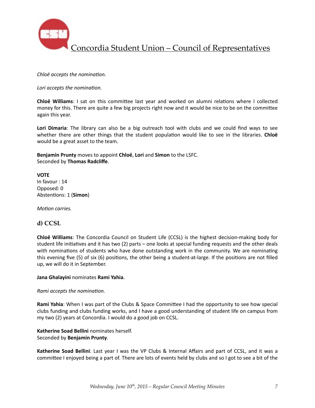

*Chloë accepts the nomination.* 

Lori accepts the nomination.

**Chloë Williams**: I sat on this committee last year and worked on alumni relations where I collected money for this. There are quite a few big projects right now and it would be nice to be on the committee again this year.

Lori Dimaria: The library can also be a big outreach tool with clubs and we could find ways to see whether there are other things that the student population would like to see in the libraries. Chloë would be a great asset to the team.

**Benjamin Prunty** moves to appoint **Chloë**, Lori and Simon to the LSFC. Seconded by **Thomas Radcliffe**. 

### **VOTE**

In favour : 14 Opposed: 0 Abstentions: 1 (Simon)

*Motion carries.* 

### **d) CCSL**

**Chloë Williams**: The Concordia Council on Student Life (CCSL) is the highest decision-making body for student life initiatives and it has two (2) parts – one looks at special funding requests and the other deals with nominations of students who have done outstanding work in the community. We are nominating this evening five  $(5)$  of six  $(6)$  positions, the other being a student-at-large. If the positions are not filled up, we will do it in September.

#### **Jana Ghalayini** nominates **Rami Yahia**.

#### *Rami accepts the nomination.*

**Rami Yahia**: When I was part of the Clubs & Space Committee I had the opportunity to see how special clubs funding and clubs funding works, and I have a good understanding of student life on campus from my two (2) years at Concordia. I would do a good job on CCSL.

Katherine Soad Bellini nominates herself. Seconded by **Benjamin Prunty**. 

Katherine Soad Bellini: Last year I was the VP Clubs & Internal Affairs and part of CCSL, and it was a committee I enjoyed being a part of. There are lots of events held by clubs and so I got to see a bit of the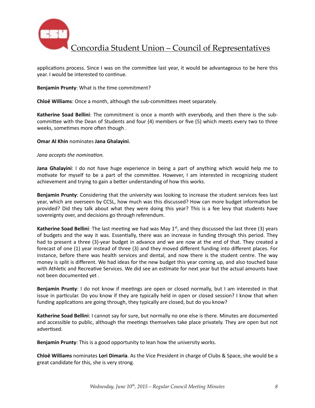

applications process. Since I was on the committee last year, it would be advantageous to be here this year. I would be interested to continue.

**Benjamin Prunty:** What is the time commitment?

**Chloë Williams**: Once a month, although the sub-committees meet separately.

**Katherine Soad Bellini**: The commitment is once a month with everybody, and then there is the subcommittee with the Dean of Students and four (4) members or five (5) which meets every two to three weeks, sometimes more often though.

#### **Omar Al Khin** nominates Jana Ghalayini.

#### *Jana accepts the nomination.*

**Jana Ghalayini**: I do not have huge experience in being a part of anything which would help me to motivate for myself to be a part of the committee. However, I am interested in recognizing student achievement and trying to gain a better understanding of how this works.

**Benjamin Prunty**: Considering that the university was looking to increase the student services fees last year, which are overseen by CCSL, how much was this discussed? How can more budget information be provided? Did they talk about what they were doing this year? This is a fee levy that students have sovereignty over, and decisions go through referendum.

**Katherine Soad Bellini**: The last meeting we had was May  $1^{st}$ , and they discussed the last three (3) years of budgets and the way it was. Essentially, there was an increase in funding through this period. They had to present a three (3)-year budget in advance and we are now at the end of that. They created a forecast of one (1) year instead of three (3) and they moved different funding into different places. For instance, before there was health services and dental, and now there is the student centre. The way money is split is different. We had ideas for the new budget this year coming up, and also touched base with Athletic and Recreative Services. We did see an estimate for next year but the actual amounts have not been documented yet .

**Benjamin Prunty**: I do not know if meetings are open or closed normally, but I am interested in that issue in particular. Do you know if they are typically held in open or closed session? I know that when funding applications are going through, they typically are closed, but do you know?

Katherine Soad Bellini: I cannot say for sure, but normally no one else is there. Minutes are documented and accessible to public, although the meetings themselves take place privately. They are open but not advertised.

**Benjamin Prunty:** This is a good opportunity to lean how the university works.

**Chloë Williams** nominates **Lori Dimaria**. As the Vice President in charge of Clubs & Space, she would be a great candidate for this, she is very strong.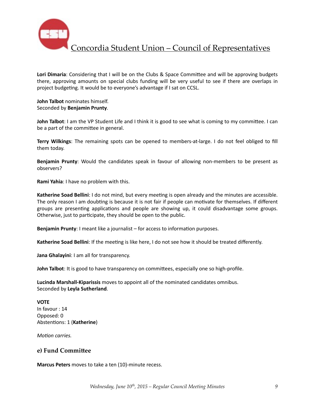

**Lori Dimaria**: Considering that I will be on the Clubs & Space Committee and will be approving budgets there, approving amounts on special clubs funding will be very useful to see if there are overlaps in project budgeting. It would be to everyone's advantage if I sat on CCSL.

**John Talbot** nominates himself. Seconded by **Benjamin Prunty**. 

**John Talbot**: I am the VP Student Life and I think it is good to see what is coming to my committee. I can be a part of the committee in general.

**Terry Wilkings**: The remaining spots can be opened to members-at-large. I do not feel obliged to fill them today.

**Benjamin Prunty**: Would the candidates speak in favour of allowing non-members to be present as observers? 

**Rami Yahia:** I have no problem with this.

Katherine Soad Bellini: I do not mind, but every meeting is open already and the minutes are accessible. The only reason I am doubting is because it is not fair if people can motivate for themselves. If different groups are presenting applications and people are showing up, it could disadvantage some groups. Otherwise, just to participate, they should be open to the public.

**Benjamin Prunty**: I meant like a journalist – for access to information purposes.

**Katherine Soad Bellini**: If the meeting is like here, I do not see how it should be treated differently.

Jana Ghalayini: I am all for transparency.

**John Talbot**: It is good to have transparency on committees, especially one so high-profile.

**Lucinda Marshall-Kiparissis** moves to appoint all of the nominated candidates omnibus. Seconded by **Leyla Sutherland**. 

**VOTE** In favour : 14 Opposed: 0 Abstentions: 1 (Katherine)

*Motion carries.* 

### **e) Fund Commi\_ee**

**Marcus Peters** moves to take a ten (10)-minute recess.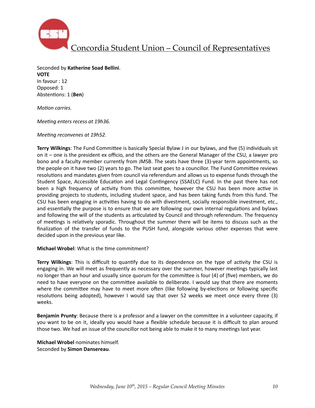

Seconded by **Katherine Soad Bellini**. **VOTE**  In favour : 12 Opposed: 1 Abstentions: 1 (Ben)

*Motion carries.* 

*Meeting enters recess at 19h36.* 

*Meeting reconvenes at 19h52.* 

**Terry Wilkings**: The Fund Committee is basically Special Bylaw J in our bylaws, and five (5) individuals sit on it – one is the president ex officio, and the others are the General Manager of the CSU, a lawyer pro bono and a faculty member currently from JMSB. The seats have three (3)-year term appointments, so the people on it have two (2) years to go. The last seat goes to a councillor. The Fund Committee reviews resolutions and mandates given from council via referendum and allows us to expense funds through the Student Space, Accessible Education and Legal Contingency (SSAELC) Fund. In the past there has not been a high frequency of activity from this committee, however the CSU has been more active in providing projects to students, including student space, and has been taking funds from this fund. The CSU has been engaging in activities having to do with divestment, socially responsible investment, etc., and essentially the purpose is to ensure that we are following our own internal regulations and bylaws and following the will of the students as articulated by Council and through referendum. The frequency of meetings is relatively sporadic. Throughout the summer there will be items to discuss such as the finalization of the transfer of funds to the PUSH fund, alongside various other expenses that were decided upon in the previous year like.

**Michael Wrobel:** What is the time commitment?

**Terry Wilkings**: This is difficult to quantify due to its dependence on the type of activity the CSU is engaging in. We will meet as frequently as necessary over the summer, however meetings typically last no longer than an hour and usually since quorum for the committee is four (4) of (five) members, we do need to have everyone on the committee available to deliberate. I would say that there are moments where the committee may have to meet more often (like following by-elections or following specific resolutions being adopted), however I would say that over 52 weeks we meet once every three (3) weeks. 

**Benjamin Prunty**: Because there is a professor and a lawyer on the committee in a volunteer capacity, if you want to be on it, ideally you would have a flexible schedule because it is difficult to plan around those two. We had an issue of the councillor not being able to make it to many meetings last year.

**Michael Wrobel** nominates himself. Seconded by **Simon Dansereau**.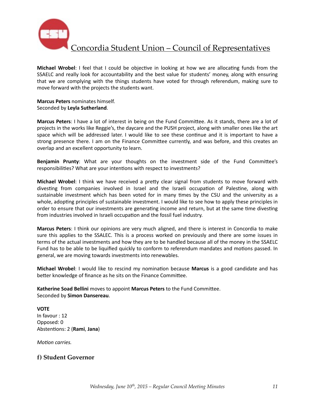

**Michael Wrobel**: I feel that I could be objective in looking at how we are allocating funds from the SSAELC and really look for accountability and the best value for students' money, along with ensuring that we are complying with the things students have voted for through referendum, making sure to move forward with the projects the students want.

#### **Marcus Peters** nominates himself. Seconded by **Leyla Sutherland**.

Marcus Peters: I have a lot of interest in being on the Fund Committee. As it stands, there are a lot of projects in the works like Reggie's, the daycare and the PUSH project, along with smaller ones like the art space which will be addressed later. I would like to see these continue and it is important to have a strong presence there. I am on the Finance Committee currently, and was before, and this creates an overlap and an excellent opportunity to learn.

**Benjamin Prunty:** What are your thoughts on the investment side of the Fund Committee's responsibilities? What are your intentions with respect to investments?

**Michael Wrobel**: I think we have received a pretty clear signal from students to move forward with divesting from companies involved in Israel and the Israeli occupation of Palestine, along with sustainable investment which has been voted for in many times by the CSU and the university as a whole, adopting principles of sustainable investment. I would like to see how to apply these principles in order to ensure that our investments are generating income and return, but at the same time divesting from industries involved in Israeli occupation and the fossil fuel industry.

**Marcus Peters**: I think our opinions are very much aligned, and there is interest in Concordia to make sure this applies to the SSALEC. This is a process worked on previously and there are some issues in terms of the actual investments and how they are to be handled because all of the money in the SSAELC Fund has to be able to be liquified quickly to conform to referendum mandates and motions passed. In general, we are moving towards investments into renewables.

**Michael Wrobel**: I would like to rescind my nomination because Marcus is a good candidate and has better knowledge of finance as he sits on the Finance Committee.

Katherine Soad Bellini moves to appoint Marcus Peters to the Fund Committee. Seconded by **Simon Dansereau**.

#### **VOTE** In favour : 12

Opposed: 0 Abstentions: 2 (Rami, Jana)

*Motion carries.* 

### **f) Student Governor**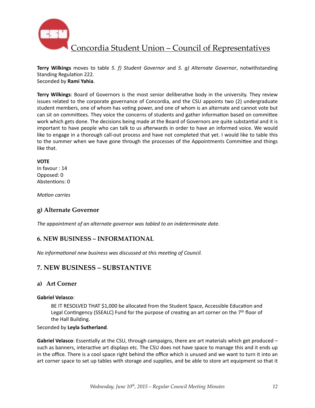

**Terry Wilkings** moves to table 5. f) Student Governor and 5. g) Alternate Governor, notwithstanding Standing Regulation 222. Seconded by **Rami Yahia**. 

**Terry Wilkings:** Board of Governors is the most senior deliberative body in the university. They review issues related to the corporate governance of Concordia, and the CSU appoints two (2) undergraduate student members, one of whom has voting power, and one of whom is an alternate and cannot vote but can sit on committees. They voice the concerns of students and gather information based on committee work which gets done. The decisions being made at the Board of Governors are quite substantial and it is important to have people who can talk to us afterwards in order to have an informed voice. We would like to engage in a thorough call-out process and have not completed that yet. I would like to table this to the summer when we have gone through the processes of the Appointments Committee and things like that.

#### **VOTE**

In favour : 14 Opposed: 0 Abstentions: 0

*Motion* carries

## **g) Alternate Governor**

The appointment of an alternate governor was tabled to an indeterminate date.

### **6. NEW BUSINESS – INFORMATIONAL**

*No informational new business was discussed at this meeting of Council.* 

## **7. NEW BUSINESS – SUBSTANTIVE**

### **a) Art Corner**

#### **Gabriel Velasco**:

BE IT RESOLVED THAT \$1,000 be allocated from the Student Space, Accessible Education and Legal Contingency (SSEALC) Fund for the purpose of creating an art corner on the  $7<sup>th</sup>$  floor of the Hall Building.

#### Seconded by **Leyla Sutherland**.

**Gabriel Velasco**: Essentially at the CSU, through campaigns, there are art materials which get produced – such as banners, interactive art displays etc. The CSU does not have space to manage this and it ends up in the office. There is a cool space right behind the office which is unused and we want to turn it into an art corner space to set up tables with storage and supplies, and be able to store art equipment so that it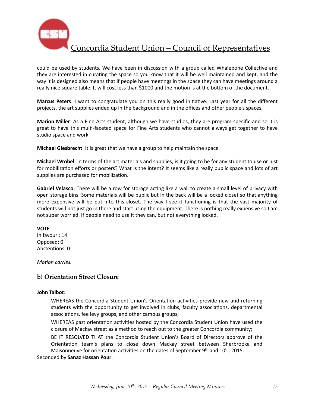

could be used by students. We have been in discussion with a group called Whalebone Collective and they are interested in curating the space so you know that it will be well maintained and kept, and the way it is designed also means that if people have meetings in the space they can have meetings around a really nice square table. It will cost less than \$1000 and the motion is at the bottom of the document.

**Marcus Peters**: I want to congratulate you on this really good initiative. Last year for all the different projects, the art supplies ended up in the background and in the offices and other people's spaces.

**Marion Miller**: As a Fine Arts student, although we have studios, they are program specific and so it is great to have this multi-faceted space for Fine Arts students who cannot always get together to have studio space and work.

**Michael Giesbrecht**: It is great that we have a group to help maintain the space.

**Michael Wrobel**: In terms of the art materials and supplies, is it going to be for any student to use or just for mobilization efforts or posters? What is the intent? It seems like a really public space and lots of art supplies are purchased for mobilization.

Gabriel Velasco: There will be a row for storage acting like a wall to create a small level of privacy with open storage bins. Some materials will be public but in the back will be a locked closet so that anything more expensive will be put into this closet. The way I see it functioning is that the vast majority of students will not just go in there and start using the equipment. There is nothing really expensive so I am not super worried. If people need to use it they can, but not everything locked.

#### **VOTE**

In favour : 14 Opposed: 0 Abstentions: 0

*Motion carries.* 

### **b) Orientation Street Closure**

#### **John Talbot**:

WHEREAS the Concordia Student Union's Orientation activities provide new and returning students with the opportunity to get involved in clubs, faculty associations, departmental associations, fee levy groups, and other campus groups;

WHEREAS past orientation activities hosted by the Concordia Student Union have used the closure of Mackay street as a method to reach out to the greater Concordia community;

BE IT RESOLVED THAT the Concordia Student Union's Board of Directors approve of the Orientation team's plans to close down Mackay street between Sherbrooke and Maisonneuve for orientation activities on the dates of September 9th and  $10^{\text{th}}$ , 2015.

Seconded by **Sanaz Hassan Pour**.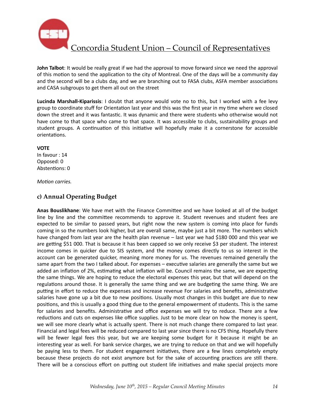

**John Talbot**: It would be really great if we had the approval to move forward since we need the approval of this motion to send the application to the city of Montreal. One of the days will be a community day and the second will be a clubs day, and we are branching out to FASA clubs, ASFA member associations and CASA subgroups to get them all out on the street

Lucinda Marshall-Kiparissis: I doubt that anyone would vote no to this, but I worked with a fee levy group to coordinate stuff for Orientation last year and this was the first year in my time where we closed down the street and it was fantastic. It was dynamic and there were students who otherwise would not have come to that space who came to that space. It was accessible to clubs, sustainability groups and student groups. A continuation of this initiative will hopefully make it a cornerstone for accessible orientations.

#### **VOTE**

In favour : 14 Opposed: 0 Abstentions: 0

#### *Motion carries.*

## **c) Annual Operating Budget**

Anas Bouslikhane: We have met with the Finance Committee and we have looked at all of the budget line by line and the committee recommends to approve it. Student revenues and student fees are expected to be similar to passed years, but right now the new system is coming into place for funds coming in so the numbers look higher, but are overall same, maybe just a bit more. The numbers which have changed from last year are the health plan revenue - last year we had \$180 000 and this year we are getting \$51 000. That is because it has been capped so we only receive \$3 per student. The interest income comes in quicker due to SIS system, and the money comes directly to us so interest in the account can be generated quicker, meaning more money for us. The revenues remained generally the same apart from the two I talked about. For expenses – executive salaries are generally the same but we added an inflation of 2%, estimating what inflation will be. Council remains the same, we are expecting the same things. We are hoping to reduce the electoral expenses this year, but that will depend on the regulations around those. It is generally the same thing and we are budgeting the same thing. We are putting in effort to reduce the expenses and increase revenue For salaries and benefits, administrative salaries have gone up a bit due to new positions. Usually most changes in this budget are due to new positions, and this is usually a good thing due to the general empowerment of students. This is the same for salaries and benefits. Administrative and office expenses we will try to reduce. There are a few reductions and cuts on expenses like office supplies. Just to be more clear on how the money is spent, we will see more clearly what is actually spent. There is not much change there compared to last year. Financial and legal fees will be reduced compared to last year since there is no CFS thing. Hopefully there will be fewer legal fees this year, but we are keeping some budget for it because it might be an interesting year as well. For bank service charges, we are trying to reduce on that and we will hopefully be paying less to them. For student engagement initiatives, there are a few lines completely empty because these projects do not exist anymore but for the sake of accounting practices are still there. There will be a conscious effort on putting out student life initiatives and make special projects more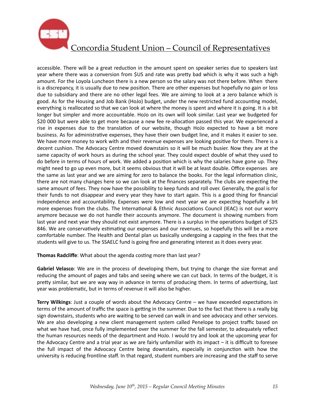

accessible. There will be a great reduction in the amount spent on speaker series due to speakers last year where there was a conversion from \$US and rate was pretty bad which is why it was such a high amount. For the Loyola Luncheon there is a new person so the salary was not there before. When there is a discrepancy, it is usually due to new position. There are other expenses but hopefully no gain or loss due to subsidiary and there are no other legal fees. We are aiming to look at a zero balance which is good. As for the Housing and Job Bank (HoJo) budget, under the new restricted fund accounting model, everything is reallocated so that we can look at where the money is spent and where it is going. It is a bit longer but simpler and more accountable. HoJo on its own will look similar. Last year we budgeted for \$20 000 but were able to get more because a new fee re-allocation passed this year. We experienced a rise in expenses due to the translation of our website, though HoJo expected to have a bit more business. As for administrative expenses, they have their own budget line, and it makes it easier to see. We have more money to work with and their revenue expenses are looking positive for them. There is a decent cushion. The Advocacy Centre moved downstairs so it will be much busier. Now they are at the same capacity of work hours as during the school year. They could expect double of what they used to do before in terms of hours of work. We added a position which is why the salaries have gone up. They might need to go up even more, but it seems obvious that it will be at least double. Office expenses are the same as last year and we are aiming for zero to balance the books. For the legal information clinic, there are not many changes here so we can look at the finances separately. The clubs are expecting the same amount of fees. They now have the possibility to keep funds and roll over. Generally, the goal is for their funds to not disappear and every year they have to start again. This is a good thing for financial independence and accountability. Expenses were low and next year we are expecting hopefully a bit more expenses from the clubs. The International & Ethnic Associations Council (IEAC) is not our worry anymore because we do not handle their accounts anymore. The document is showing numbers from last year and next year they should not exist anymore. There is a surplus in the operations budget of \$25 846. We are conservatively estimating our expenses and our revenues, so hopefully this will be a more comfortable number. The Health and Dental plan us basically undergoing a capping in the fees that the students will give to us. The SSAELC fund is going fine and generating interest as it does every year.

**Thomas Radcliffe:** What about the agenda costing more than last year?

**Gabriel Velasco**: We are in the process of developing them, but trying to change the size format and reducing the amount of pages and tabs and seeing where we can cut back. In terms of the budget, it is pretty similar, but we are way way in advance in terms of producing them. In terms of advertising, last year was problematic, but in terms of revenue it will also be higher.

**Terry Wilkings**: Just a couple of words about the Advocacy Centre – we have exceeded expectations in terms of the amount of traffic the space is getting in the summer. Due to the fact that there is a really big sign downstairs, students who are waiting to be served can walk in and see advocacy and other services. We are also developing a new client management system called Penelope to project traffic based on what we have had, once fully implemented over the summer for the fall semester, to adequately reflect the human resources needs of the department and HoJo. I would try and look at the upcoming year for the Advocacy Centre and a trial year as we are fairly unfamiliar with its impact  $-$  it is difficult to foresee the full impact of the Advocacy Centre being downstairs, especially in conjunction with how the university is reducing frontline staff. In that regard, student numbers are increasing and the staff to serve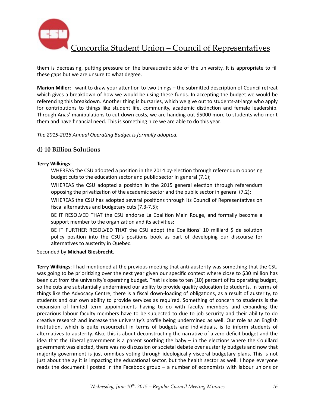

them is decreasing, putting pressure on the bureaucratic side of the university. It is appropriate to fill these gaps but we are unsure to what degree.

**Marion Miller**: I want to draw your attention to two things – the submitted description of Council retreat which gives a breakdown of how we would be using these funds. In accepting the budget we would be referencing this breakdown. Another thing is bursaries, which we give out to students-at-large who apply for contributions to things like student life, community, academic distinction and female leadership. Through Anas' manipulations to cut down costs, we are handing out \$5000 more to students who merit them and have financial need. This is something nice we are able to do this year.

The 2015-2016 Annual Operating Budget is formally adopted.

### **d) 10 Billion Solutions**

#### **Terry Wilkings**:

WHEREAS the CSU adopted a position in the 2014 by-election through referendum opposing budget cuts to the education sector and public sector in general (7.1);

WHEREAS the CSU adopted a position in the 2015 general election through referendum opposing the privatization of the academic sector and the public sector in general  $(7.2)$ ;

WHEREAS the CSU has adopted several positions through its Council of Representatives on fiscal alternatives and budgetary cuts  $(7.3-7.5)$ ;

BE IT RESOLVED THAT the CSU endorse La Coalition Main Rouge, and formally become a support member to the organization and its activities;

BE IT FURTHER RESOLVED THAT the CSU adopt the Coalitions' 10 milliard \$ de solution policy position into the CSU's positions book as part of developing our discourse for alternatives to austerity in Quebec.

Seconded by Michael Giesbrecht.

**Terry Wilkings**: I had mentioned at the previous meeting that anti-austerity was something that the CSU was going to be prioritizing over the next year given our specific context where close to \$30 million has been cut from the university's operating budget. That is close to ten (10) percent of its operating budget, so the cuts are substantially undermined our ability to provide quality education to students. In terms of things like the Advocacy Centre, there is a fiscal down-loading of obligations, as a result of austerity, to students and our own ability to provide services as required. Something of concern to students is the expansion of limited term appointments having to do with faculty members and expanding the precarious labour faculty members have to be subjected to due to job security and their ability to do creative research and increase the university's profile being undermined as well. Our role as an English institution, which is quite resourceful in terms of budgets and individuals, is to inform students of alternatives to austerity. Also, this is about deconstructing the narrative of a zero-deficit budget and the idea that the Liberal government is a parent soothing the baby  $-$  in the elections where the Couillard government was elected, there was no discussion or societal debate over austerity budgets and now that majority government is just omnibus voting through ideologically visceral budgetary plans. This is not just about the ay it is impacting the educational sector, but the health sector as well. I hope everyone reads the document I posted in the Facebook group – a number of economists with labour unions or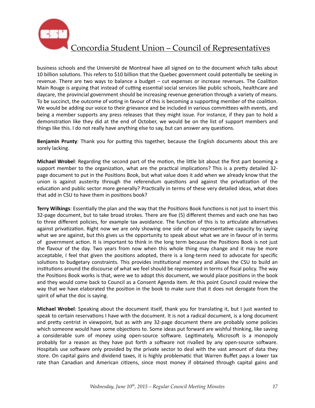

business schools and the Université de Montreal have all signed on to the document which talks about 10 billion solutions. This refers to \$10 billion that the Quebec government could potentially be seeking in revenue. There are two ways to balance a budget – cut expenses or increase revenues. The Coalition Main Rouge is arguing that instead of cutting essential social services like public schools, healthcare and daycare, the provincial government should be increasing revenue generation through a variety of means. To be succinct, the outcome of voting in favour of this is becoming a supporting member of the coalition. We would be adding our voice to their grievance and be included in various committees with events, and being a member supports any press releases that they might issue. For instance, if they pan to hold a demonstration like they did at the end of October, we would be on the list of support members and things like this. I do not really have anything else to say, but can answer any questions.

**Benjamin Prunty**: Thank you for putting this together, because the English documents about this are sorely lacking.

**Michael Wrobel**: Regarding the second part of the motion, the little bit about the first part booming a support member to the organization, what are the practical implications? This is a pretty detailed 32page document to put in the Positions Book, but what value does it add when we already know that the union is against austerity through the referendum questions and against the privatization of the education and public sector more generally? Practically in terms of these very detailed ideas, what does that add in CSU to have them in positions book?

**Terry Wilkings**: Essentially the plan and the way that the Positions Book functions is not just to insert this 32-page document, but to take broad strokes. There are five (5) different themes and each one has two to three different policies, for example tax avoidance. The function of this is to articulate alternatives against privatization. Right now we are only showing one side of our representative capacity by saying what we are against, but this gives us the opportunity to speak about what we are in favour of in terms of government action. It is important to think in the long term because the Positions Book is not just the flavour of the day. Two years from now when this whole thing may change and it may be more acceptable, I feel that given the positions adopted, there is a long-term need to advocate for specific solutions to budgetary constraints. This provides institutional memory and allows the CSU to build an institutions around the discourse of what we feel should be represented in terms of fiscal policy. The way the Positions Book works is that, were we to adopt this document, we would place positions in the book and they would come back to Council as a Consent Agenda item. At this point Council could review the way that we have elaborated the position in the book to make sure that it does not derogate from the spirit of what the doc is saying.

**Michael Wrobel**: Speaking about the document itself, thank you for translating it, but I just wanted to speak to certain reservations I have with the document. It is not a radical document, is a long document and pretty centrist in viewpoint, but as with any 32-page document there are probably some policies which someone would have some objections to. Some ideas put forward are wishful thinking, like saving a considerable sum of money using open-source software. Legitimately, Microsoft is a monopoly probably for a reason as they have put forth a software not rivalled by any open-source software. Hospitals use software only provided by the private sector to deal with the vast amount of data they store. On capital gains and dividend taxes, it is highly problematic that Warren Buffet pays a lower tax rate than Canadian and American citizens, since most money if obtained through capital gains and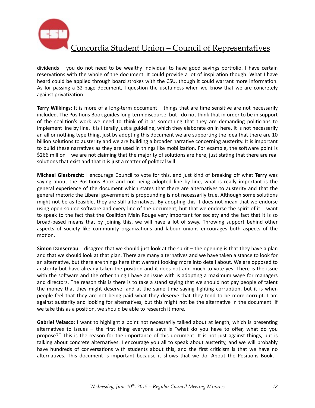

dividends  $-$  you do not need to be wealthy individual to have good savings portfolio. I have certain reservations with the whole of the document. It could provide a lot of inspiration though. What I have heard could be applied through board strokes with the CSU, though it could warrant more information. As for passing a 32-page document, I question the usefulness when we know that we are concretely against privatization.

**Terry Wilkings**: It is more of a long-term document – things that are time sensitive are not necessarily included. The Positions Book guides long-term discourse, but I do not think that in order to be in support of the coalition's work we need to think of it as something that they are demanding politicians to implement line by line. It is literally just a guideline, which they elaborate on in here. It is not necessarily an all or nothing type thing, just by adopting this document we are supporting the idea that there are 10 billion solutions to austerity and we are building a broader narrative concerning austerity. It is important to build these narratives as they are used in things like mobilization. For example, the software point is \$266 million – we are not claiming that the majority of solutions are here, just stating that there are real solutions that exist and that it is just a matter of political will.

**Michael Giesbrecht**: I encourage Council to vote for this, and just kind of breaking off what Terry was saying about the Positions Book and not being adopted line by line, what is really important is the general experience of the document which states that there are alternatives to austerity and that the general rhetoric the Liberal government is propounding is not necessarily true. Although some solutions might not be as feasible, they are still alternatives. By adopting this it does not mean that we endorse using open-source software and every line of the document, but that we endorse the spirit of it. I want to speak to the fact that the Coalition Main Rouge very important for society and the fact that it is so broad-based means that by joining this, we will have a lot of sway. Throwing support behind other aspects of society like community organizations and labour unions encourages both aspects of the motion.

**Simon Dansereau:** I disagree that we should just look at the spirit – the opening is that they have a plan and that we should look at that plan. There are many alternatives and we have taken a stance to look for an alternative, but there are things here that warrant looking more into detail about. We are opposed to austerity but have already taken the position and it does not add much to vote yes. There is the issue with the software and the other thing I have an issue with is adopting a maximum wage for managers and directors. The reason this is there is to take a stand saying that we should not pay people of talent the money that they might deserve, and at the same time saying fighting corruption, but it is when people feel that they are not being paid what they deserve that they tend to be more corrupt. I am against austerity and looking for alternatives, but this might not be the alternative in the document. If we take this as a position, we should be able to research it more.

**Gabriel Velasco**: I want to highlight a point not necessarily talked about at length, which is presenting alternatives to issues – the first thing everyone says is "what do you have to offer, what do you propose?" This is the reason for the importance of this document. It is not just against things, but is talking about concrete alternatives. I encourage you all to speak about austerity, and we will probably have hundreds of conversations with students about this, and the first criticism is that we have no alternatives. This document is important because it shows that we do. About the Positions Book, I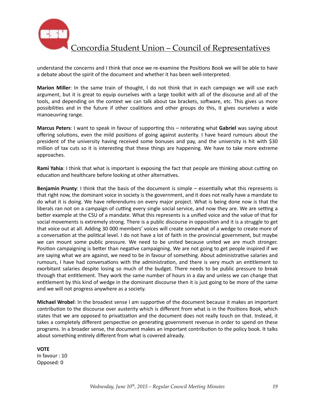

understand the concerns and I think that once we re-examine the Positions Book we will be able to have a debate about the spirit of the document and whether it has been well-interpreted.

**Marion Miller**: In the same train of thought, I do not think that in each campaign we will use each argument, but it is great to equip ourselves with a large toolkit with all of the discourse and all of the tools, and depending on the context we can talk about tax brackets, software, etc. This gives us more possibilities and in the future if other coalitions and other groups do this, it gives ourselves a wide manoeuvring range.

**Marcus Peters**: I want to speak in favour of supporting this – reiterating what Gabriel was saying about offering solutions, even the mild positions of going against austerity. I have heard rumours about the president of the university having received some bonuses and pay, and the university is hit with \$30 million of tax cuts so it is interesting that these things are happening. We have to take more extreme approaches. 

**Rami Yahia**: I think that what is important is exposing the fact that people are thinking about cutting on education and healthcare before looking at other alternatives.

**Benjamin Prunty**: I think that the basis of the document is simple – essentially what this represents is that right now, the dominant voice in society is the government, and it does not really have a mandate to do what it is doing. We have referendums on every major project. What is being done now is that the liberals ran not on a campaign of cutting every single social service, and now they are. We are setting a better example at the CSU of a mandate. What this represents is a unified voice and the value of that for social movements is extremely strong. There is a public discourse in opposition and it is a struggle to get that voice out at all. Adding 30 000 members' voices will create somewhat of a wedge to create more of a conversation at the political level. I do not have a lot of faith in the provincial government, but maybe we can mount some public pressure. We need to be united because united we are much stronger. Position campaigning is better than negative campaigning. We are not going to get people inspired if we are saying what we are against, we need to be in favour of something. About administrative salaries and rumours, I have had conversations with the administration, and there is very much an entitlement to exorbitant salaries despite losing so much of the budget. There needs to be public pressure to break through that entitlement. They work the same number of hours in a day and unless we can change that entitlement by this kind of wedge in the dominant discourse then it is just going to be more of the same and we will not progress anywhere as a society.

**Michael Wrobel:** In the broadest sense I am supportive of the document because it makes an important contribution to the discourse over austerity which is different from what is in the Positions Book, which states that we are opposed to privatization and the document does not really touch on that. Instead, it takes a completely different perspective on generating government revenue in order to spend on these programs. In a broader sense, the document makes an important contribution to the policy book. It talks about something entirely different from what is covered already.

**VOTE** In favour : 10 Opposed: 0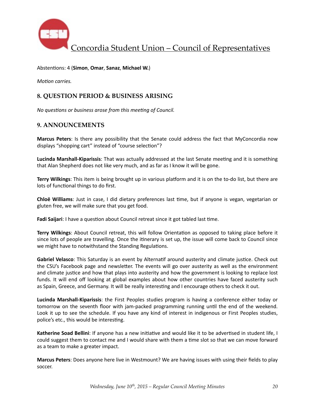

Abstentions: 4 (Simon, Omar, Sanaz, Michael W.)

*Motion carries.* 

### **8. QUESTION PERIOD & BUSINESS ARISING**

*No questions or business arose from this meeting of Council.* 

### **9. ANNOUNCEMENTS**

**Marcus Peters**: Is there any possibility that the Senate could address the fact that MyConcordia now displays "shopping cart" instead of "course selection"?

**Lucinda Marshall-Kiparissis**: That was actually addressed at the last Senate meeting and it is something that Alan Shepherd does not like very much, and as far as I know it will be gone.

**Terry Wilkings**: This item is being brought up in various platform and it is on the to-do list, but there are lots of functional things to do first.

**Chloë Williams**: Just in case, I did dietary preferences last time, but if anyone is vegan, vegetarian or gluten free, we will make sure that you get food.

**Fadi Saijari**: I have a question about Council retreat since it got tabled last time.

**Terry Wilkings:** About Council retreat, this will follow Orientation as opposed to taking place before it since lots of people are travelling. Once the itinerary is set up, the issue will come back to Council since we might have to notwithstand the Standing Regulations.

**Gabriel Velasco**: This Saturday is an event by Alternatif around austerity and climate justice. Check out the CSU's Facebook page and newsletter. The events will go over austerity as well as the environment and climate justice and how that plays into austerity and how the government is looking to replace lost funds. It will end off looking at global examples about how other countries have faced austerity such as Spain, Greece, and Germany. It will be really interesting and I encourage others to check it out.

**Lucinda Marshall-Kiparissis**: the First Peoples studies program is having a conference either today or tomorrow on the seventh floor with jam-packed programming running until the end of the weekend. Look it up to see the schedule. If you have any kind of interest in indigenous or First Peoples studies, police's etc., this would be interesting.

**Katherine Soad Bellini**: If anyone has a new initiative and would like it to be advertised in student life, I could suggest them to contact me and I would share with them a time slot so that we can move forward as a team to make a greater impact.

**Marcus Peters**: Does anyone here live in Westmount? We are having issues with using their fields to play soccer.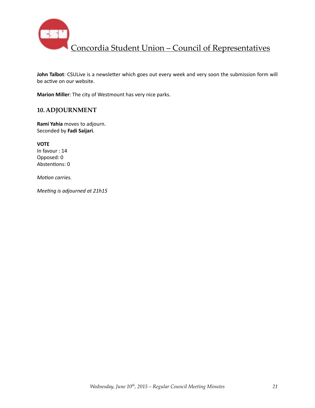

John Talbot: CSULive is a newsletter which goes out every week and very soon the submission form will be active on our website.

**Marion Miller**: The city of Westmount has very nice parks.

### **10. ADJOURNMENT**

**Rami Yahia** moves to adjourn. Seconded by **Fadi Saijari**. 

**VOTE** In favour : 14 Opposed: 0 Abstentions: 0

*Motion carries.* 

*Meeting is adjourned at 21h15*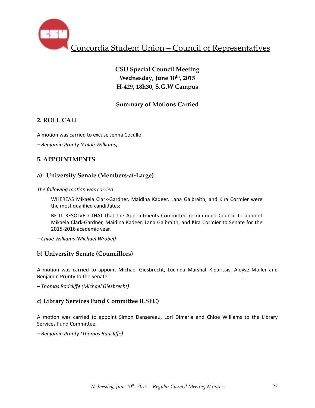

# **CSU Special Council Meeting** Wednesday, June  $10^{th}$ , 2015 **H-429, 18h30, S.G.W Campus**

# **Summary of Motions Carried**

## **2. ROLL CALL**

A motion was carried to excuse Jenna Cocullo.

*– Benjamin Prunty (Chloë Williams)*

### **5. APPOINTMENTS**

### **a) University Senate (Members-at-Large)**

The following motion was carried:

WHEREAS Mikaela Clark-Gardner, Maidina Kadeer, Lana Galbraith, and Kira Cormier were the most qualified candidates;

BE IT RESOLVED THAT that the Appointments Committee recommend Council to appoint Mikaela Clark-Gardner, Maidina Kadeer, Lana Galbraith, and Kira Cormier to Senate for the 2015-2016 academic year.

*– Chloë Williams (Michael Wrobel)*

### **b) University Senate (Councillors)**

A motion was carried to appoint Michael Giesbrecht, Lucinda Marshall-Kiparissis, Aloyse Muller and Benjamin Prunty to the Senate.

*– Thomas Radcliffe (Michael Giesbrecht)*

### **c) Library Services Fund Commi\_ee (LSFC)**

A motion was carried to appoint Simon Dansereau, Lori Dimaria and Chloë Williams to the Library Services Fund Committee.

*– Benjamin Prunty (Thomas Radcliffe)*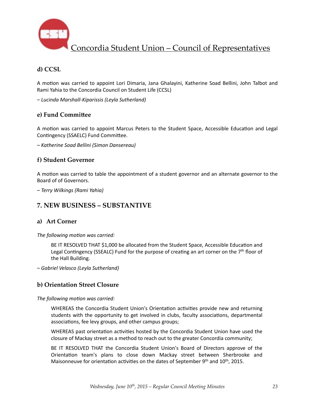

# **d) CCSL**

A motion was carried to appoint Lori Dimaria, Jana Ghalayini, Katherine Soad Bellini, John Talbot and Rami Yahia to the Concordia Council on Student Life (CCSL)

*– Lucinda Marshall-Kiparissis (Leyla Sutherland)* 

### **e)** Fund Committee

A motion was carried to appoint Marcus Peters to the Student Space, Accessible Education and Legal Contingency (SSAELC) Fund Committee.

*– Katherine Soad Bellini (Simon Dansereau)*

### **f) Student Governor**

A motion was carried to table the appointment of a student governor and an alternate governor to the Board of of Governors.

*– Terry Wilkings (Rami Yahia)*

## **7. NEW BUSINESS – SUBSTANTIVE**

### **a) Art Corner**

The following motion was carried:

BE IT RESOLVED THAT \$1,000 be allocated from the Student Space, Accessible Education and Legal Contingency (SSEALC) Fund for the purpose of creating an art corner on the  $7<sup>th</sup>$  floor of the Hall Building.

*– Gabriel Velasco (Leyla Sutherland)* 

## **b) Orientation Street Closure**

The following motion was carried:

WHEREAS the Concordia Student Union's Orientation activities provide new and returning students with the opportunity to get involved in clubs, faculty associations, departmental associations, fee levy groups, and other campus groups;

WHEREAS past orientation activities hosted by the Concordia Student Union have used the closure of Mackay street as a method to reach out to the greater Concordia community;

BE IT RESOLVED THAT the Concordia Student Union's Board of Directors approve of the Orientation team's plans to close down Mackay street between Sherbrooke and Maisonneuve for orientation activities on the dates of September  $9<sup>th</sup>$  and  $10<sup>th</sup>$ , 2015.